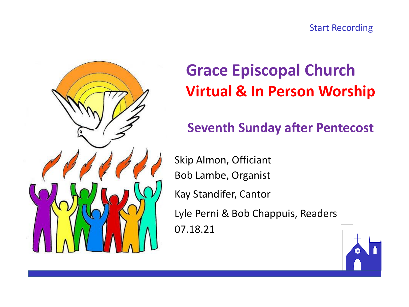



# **Grace Episcopal Church Virtual & In Person Worship**

### **Seventh Sunday after Pentecost**

Skip Almon, Officiant Bob Lambe, Organist Kay Standifer, Cantor Lyle Perni & Bob Chappuis, Readers 07.18.21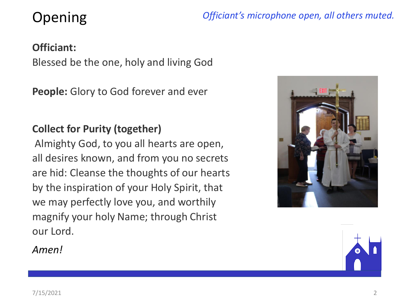# Opening

*Officiant's microphone open, all others muted.*

#### **Officiant:**

Blessed be the one, holy and living God

**People:** Glory to God forever and ever

#### **Collect for Purity (together)**

Almighty God, to you all hearts are open, all desires known, and from you no secrets are hid: Cleanse the thoughts of our hearts by the inspiration of your Holy Spirit, that we may perfectly love you, and worthily magnify your holy Name; through Christ our Lord.



*Amen!*

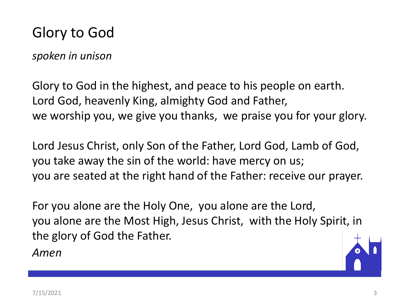## Glory to God

*spoken in unison*

Glory to God in the highest, and peace to his people on earth. Lord God, heavenly King, almighty God and Father, we worship you, we give you thanks, we praise you for your glory.

Lord Jesus Christ, only Son of the Father, Lord God, Lamb of God, you take away the sin of the world: have mercy on us; you are seated at the right hand of the Father: receive our prayer.

For you alone are the Holy One, you alone are the Lord, you alone are the Most High, Jesus Christ, with the Holy Spirit, in the glory of God the Father.

*Amen*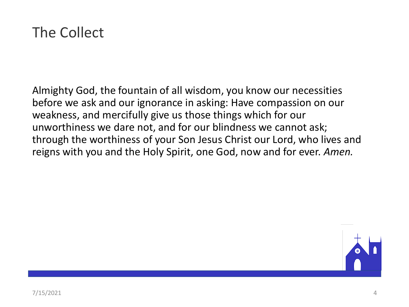

Almighty God, the fountain of all wisdom, you know our necessities before we ask and our ignorance in asking: Have compassion on our weakness, and mercifully give us those things which for our unworthiness we dare not, and for our blindness we cannot ask; through the worthiness of your Son Jesus Christ our Lord, who lives and reigns with you and the Holy Spirit, one God, now and for ever. *Amen.*

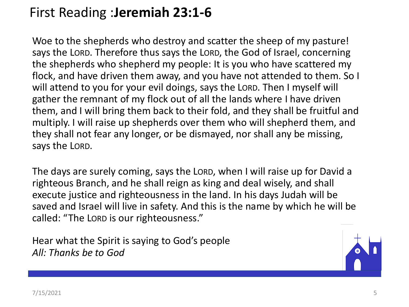## First Reading :**Jeremiah 23:1-6**

Woe to the shepherds who destroy and scatter the sheep of my pasture! says the LORD. Therefore thus says the LORD, the God of Israel, concerning the shepherds who shepherd my people: It is you who have scattered my flock, and have driven them away, and you have not attended to them. So I will attend to you for your evil doings, says the LORD. Then I myself will gather the remnant of my flock out of all the lands where I have driven them, and I will bring them back to their fold, and they shall be fruitful and multiply. I will raise up shepherds over them who will shepherd them, and they shall not fear any longer, or be dismayed, nor shall any be missing, says the LORD.

The days are surely coming, says the LORD, when I will raise up for David a righteous Branch, and he shall reign as king and deal wisely, and shall execute justice and righteousness in the land. In his days Judah will be saved and Israel will live in safety. And this is the name by which he will be called: "The LORD is our righteousness."

Hear what the Spirit is saying to God's people *All: Thanks be to God*

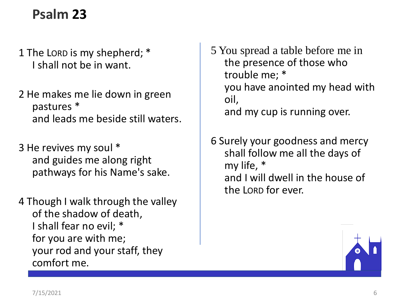## **Psalm 23**

- 1 The LORD is my shepherd; \* I shall not be in want.
- 2 He makes me lie down in green pastures \* and leads me beside still waters.
- 3 He revives my soul \* and guides me along right pathways for his Name's sake.
- 4 Though I walk through the valley of the shadow of death, I shall fear no evil; \* for you are with me; your rod and your staff, they comfort me.

5 You spread a table before me in the presence of those who trouble me; \* you have anointed my head with oil, and my cup is running over.

6 Surely your goodness and mercy shall follow me all the days of my life, \* and I will dwell in the house of the LORD for ever.

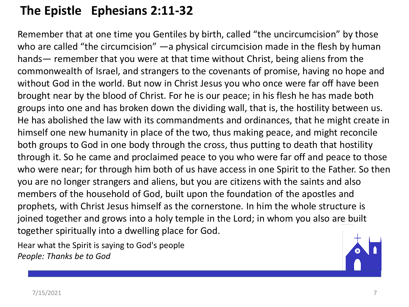#### **The Epistle Ephesians 2:11-32**

Remember that at one time you Gentiles by birth, called "the uncircumcision" by those who are called "the circumcision" —a physical circumcision made in the flesh by human hands— remember that you were at that time without Christ, being aliens from the commonwealth of Israel, and strangers to the covenants of promise, having no hope and without God in the world. But now in Christ Jesus you who once were far off have been brought near by the blood of Christ. For he is our peace; in his flesh he has made both groups into one and has broken down the dividing wall, that is, the hostility between us. He has abolished the law with its commandments and ordinances, that he might create in himself one new humanity in place of the two, thus making peace, and might reconcile both groups to God in one body through the cross, thus putting to death that hostility through it. So he came and proclaimed peace to you who were far off and peace to those who were near; for through him both of us have access in one Spirit to the Father. So then you are no longer strangers and aliens, but you are citizens with the saints and also members of the household of God, built upon the foundation of the apostles and prophets, with Christ Jesus himself as the cornerstone. In him the whole structure is joined together and grows into a holy temple in the Lord; in whom you also are built together spiritually into a dwelling place for God.

Hear what the Spirit is saying to God's people *People: Thanks be to God*

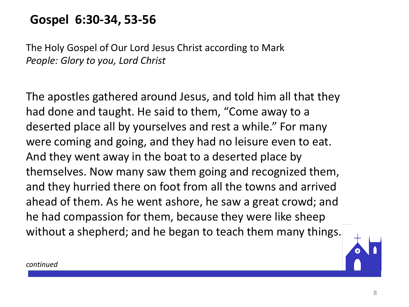### **Gospel 6:30-34, 53-56**

The Holy Gospel of Our Lord Jesus Christ according to Mark *People: Glory to you, Lord Christ*

The apostles gathered around Jesus, and told him all that they had done and taught. He said to them, "Come away to a deserted place all by yourselves and rest a while." For many were coming and going, and they had no leisure even to eat. And they went away in the boat to a deserted place by themselves. Now many saw them going and recognized them, and they hurried there on foot from all the towns and arrived ahead of them. As he went ashore, he saw a great crowd; and he had compassion for them, because they were like sheep without a shepherd; and he began to teach them many things.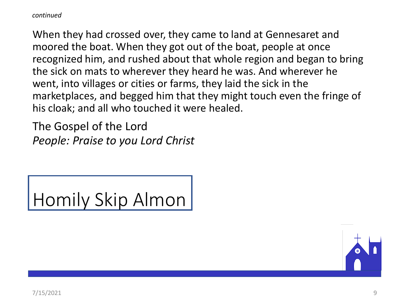*continued*

When they had crossed over, they came to land at Gennesaret and moored the boat. When they got out of the boat, people at once recognized him, and rushed about that whole region and began to bring the sick on mats to wherever they heard he was. And wherever he went, into villages or cities or farms, they laid the sick in the marketplaces, and begged him that they might touch even the fringe of his cloak; and all who touched it were healed.

The Gospel of the Lord *People: Praise to you Lord Christ*

Homily Skip Almon

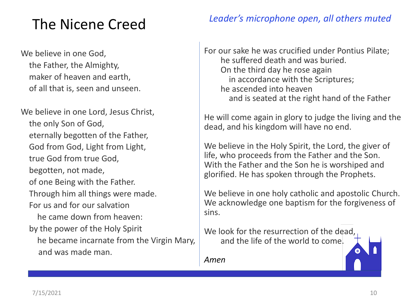# The Nicene Creed

We believe in one God, the Father, the Almighty, maker of heaven and earth, of all that is, seen and unseen.

We believe in one Lord, Jesus Christ, the only Son of God, eternally begotten of the Father, God from God, Light from Light, true God from true God, begotten, not made, of one Being with the Father. Through him all things were made. For us and for our salvation he came down from heaven: by the power of the Holy Spirit he became incarnate from the Virgin Mary, and was made man.

#### *Leader's microphone open, all others muted*

For our sake he was crucified under Pontius Pilate; he suffered death and was buried. On the third day he rose again in accordance with the Scriptures; he ascended into heaven and is seated at the right hand of the Father

He will come again in glory to judge the living and the dead, and his kingdom will have no end.

We believe in the Holy Spirit, the Lord, the giver of life, who proceeds from the Father and the Son. With the Father and the Son he is worshiped and glorified. He has spoken through the Prophets.

We believe in one holy catholic and apostolic Church. We acknowledge one baptism for the forgiveness of sins.

We look for the resurrection of the dead, and the life of the world to come.

*Amen*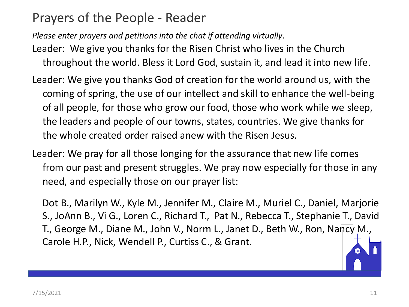### Prayers of the People - Reader

*Please enter prayers and petitions into the chat if attending virtually*.

- Leader: We give you thanks for the Risen Christ who lives in the Church throughout the world. Bless it Lord God, sustain it, and lead it into new life.
- Leader: We give you thanks God of creation for the world around us, with the coming of spring, the use of our intellect and skill to enhance the well-being of all people, for those who grow our food, those who work while we sleep, the leaders and people of our towns, states, countries. We give thanks for the whole created order raised anew with the Risen Jesus.
- Leader: We pray for all those longing for the assurance that new life comes from our past and present struggles. We pray now especially for those in any need, and especially those on our prayer list:

Dot B., Marilyn W., Kyle M., Jennifer M., Claire M., Muriel C., Daniel, Marjorie S., JoAnn B., Vi G., Loren C., Richard T., Pat N., Rebecca T., Stephanie T., David T., George M., Diane M., John V., Norm L., Janet D., Beth W., Ron, Nancy M., Carole H.P., Nick, Wendell P., Curtiss C., & Grant.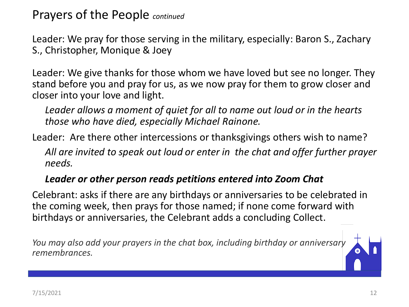Prayers of the People *continued*

Leader: We pray for those serving in the military, especially: Baron S., Zachary S., Christopher, Monique & Joey

Leader: We give thanks for those whom we have loved but see no longer. They stand before you and pray for us, as we now pray for them to grow closer and closer into your love and light.

*Leader allows a moment of quiet for all to name out loud or in the hearts those who have died, especially Michael Rainone.*

Leader: Are there other intercessions or thanksgivings others wish to name?

*All are invited to speak out loud or enter in the chat and offer further prayer needs.*

#### *Leader or other person reads petitions entered into Zoom Chat*

Celebrant: asks if there are any birthdays or anniversaries to be celebrated in the coming week, then prays for those named; if none come forward with birthdays or anniversaries, the Celebrant adds a concluding Collect.

*You may also add your prayers in the chat box, including birthday or anniversary remembrances.*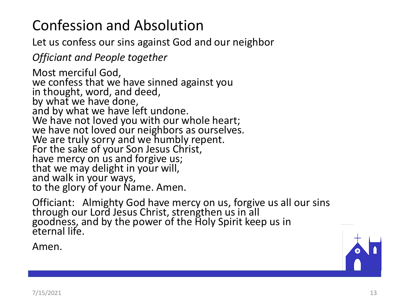# Confession and Absolution

Let us confess our sins against God and our neighbor

*Officiant and People together*

Most merciful God, we confess that we have sinned against you in thought, word, and deed, by what we have done, and by what we have left undone. We have not loved you with our whole heart; we have not loved our neighbors as ourselves. We are truly sorry and we humbly repent. For the sake of your Son Jesus Christ, have mercy on us and forgive us; that we may delight in your will, and walk in your ways, to the glory of your Name. Amen.

Officiant: Almighty God have mercy on us, forgive us all our sins through our Lord Jesus Christ, strengthen us in all goodness, and by the power of the Holy Spirit keep us in eternal life.

Amen.

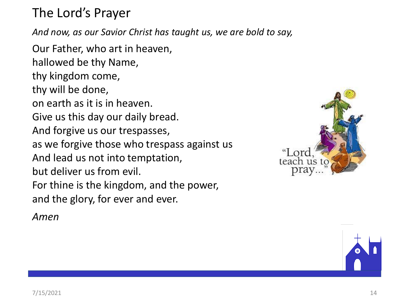The Lord's Prayer

*And now, as our Savior Christ has taught us, we are bold to say,*

Our Father, who art in heaven, hallowed be thy Name, thy kingdom come, thy will be done, on earth as it is in heaven. Give us this day our daily bread. And forgive us our trespasses, as we forgive those who trespass against us And lead us not into temptation, but deliver us from evil. For thine is the kingdom, and the power, and the glory, for ever and ever.

teach

*Amen*

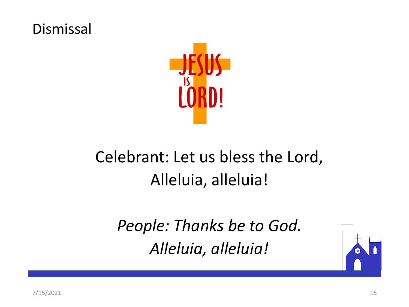### Dismissal



# Celebrant: Let us bless the Lord, Alleluia, alleluia!

*People: Thanks be to God. Alleluia, alleluia!*

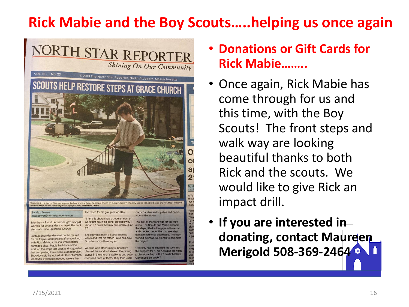# **Rick Mabie and the Boy Scouts…..helping us once again**



- **Donations or Gift Cards for Rick Mabie……..**
- Once again, Rick Mabie has come through for us and this time, with the Boy Scouts! The front steps and walk way are looking beautiful thanks to both Rick and the scouts. We would like to give Rick an impact drill.
- **If you are interested in donating, contact Maureen Merigold 508-369-2464**